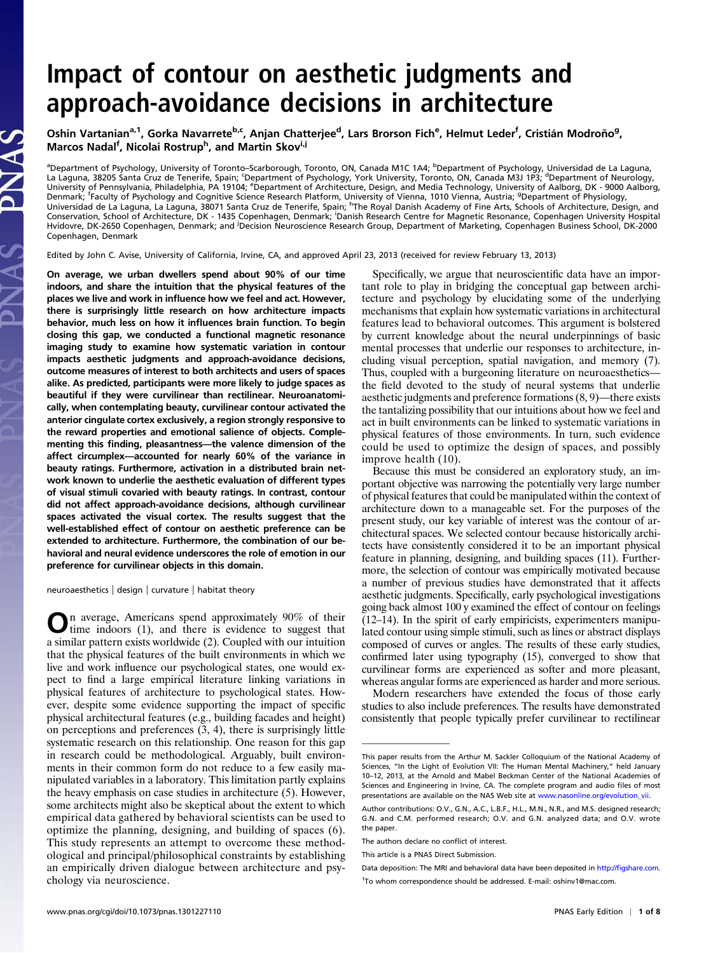# Impact of contour on aesthetic judgments and approach-avoidance decisions in architecture

Oshin Vartanian<sup>a, 1</sup>, Gorka Navarrete<sup>b,c</sup>, Anjan Chatterjee<sup>d</sup>, Lars Brorson Fich<sup>e</sup>, Helmut Leder<sup>f</sup>, Cristián Modroño<sup>g</sup>, Marcos Nadal<sup>f</sup>, Nicolai Rostrup<sup>h</sup>, and Martin Skov<sup>i,j</sup>

<sup>a</sup>Department of Psychology, University of Toronto–Scarborough, Toronto, ON, Canada M1C 1A4; <sup>b</sup>Department of Psychology, Universidad de La Laguna,<br>La Laguna, 38205 Santa Cruz de Tenerife, Spain; ʿDepartment of Psychology, University of Pennsylvania, Philadelphia, PA 19104; <sup>e</sup>Department of Architecture, Design, and Media Technology, University of Aalborg, DK - 9000 Aalborg, Denmark; <sup>f</sup>Faculty of Psychology and Cognitive Science Research Platform, University of Vienna, 1010 Vienna, Austria; <sup>g</sup>Department of Physiology, Universidad de La Laguna, La Laguna, 38071 Santa Cruz de Tenerife, Spain; <sup>h</sup>The Royal Danish Academy of Fine Arts, Schools of Architecture, Design, and<br>Conservation, School of Architecture, DK - 1435 Copenhagen, Denmark; Hvidovre, DK-2650 Copenhagen, Denmark; and <sup>j</sup> Decision Neuroscience Research Group, Department of Marketing, Copenhagen Business School, DK-2000 Copenhagen, Denmark

Edited by John C. Avise, University of California, Irvine, CA, and approved April 23, 2013 (received for review February 13, 2013)

On average, we urban dwellers spend about 90% of our time indoors, and share the intuition that the physical features of the places we live and work in influence how we feel and act. However, there is surprisingly little research on how architecture impacts behavior, much less on how it influences brain function. To begin closing this gap, we conducted a functional magnetic resonance imaging study to examine how systematic variation in contour impacts aesthetic judgments and approach-avoidance decisions, outcome measures of interest to both architects and users of spaces alike. As predicted, participants were more likely to judge spaces as beautiful if they were curvilinear than rectilinear. Neuroanatomically, when contemplating beauty, curvilinear contour activated the anterior cingulate cortex exclusively, a region strongly responsive to the reward properties and emotional salience of objects. Complementing this finding, pleasantness—the valence dimension of the affect circumplex—accounted for nearly 60% of the variance in beauty ratings. Furthermore, activation in a distributed brain network known to underlie the aesthetic evaluation of different types of visual stimuli covaried with beauty ratings. In contrast, contour did not affect approach-avoidance decisions, although curvilinear spaces activated the visual cortex. The results suggest that the well-established effect of contour on aesthetic preference can be extended to architecture. Furthermore, the combination of our behavioral and neural evidence underscores the role of emotion in our preference for curvilinear objects in this domain.

neuroaesthetics | design | curvature | habitat theory

**On** average, Americans spend approximately 90% of their time indoors (1), and there is evidence to suggest that a similar pattern exists worldwide (2). Coupled with our intuition that the physical features of the built environments in which we live and work influence our psychological states, one would expect to find a large empirical literature linking variations in physical features of architecture to psychological states. However, despite some evidence supporting the impact of specific physical architectural features (e.g., building facades and height) on perceptions and preferences (3, 4), there is surprisingly little systematic research on this relationship. One reason for this gap in research could be methodological. Arguably, built environments in their common form do not reduce to a few easily manipulated variables in a laboratory. This limitation partly explains the heavy emphasis on case studies in architecture (5). However, some architects might also be skeptical about the extent to which empirical data gathered by behavioral scientists can be used to optimize the planning, designing, and building of spaces (6). This study represents an attempt to overcome these methodological and principal/philosophical constraints by establishing an empirically driven dialogue between architecture and psychology via neuroscience.

Specifically, we argue that neuroscientific data have an important role to play in bridging the conceptual gap between architecture and psychology by elucidating some of the underlying mechanisms that explain how systematic variations in architectural features lead to behavioral outcomes. This argument is bolstered by current knowledge about the neural underpinnings of basic mental processes that underlie our responses to architecture, including visual perception, spatial navigation, and memory (7). Thus, coupled with a burgeoning literature on neuroaesthetics the field devoted to the study of neural systems that underlie aesthetic judgments and preference formations (8, 9)—there exists the tantalizing possibility that our intuitions about how we feel and act in built environments can be linked to systematic variations in physical features of those environments. In turn, such evidence could be used to optimize the design of spaces, and possibly improve health (10).

Because this must be considered an exploratory study, an important objective was narrowing the potentially very large number of physical features that could be manipulated within the context of architecture down to a manageable set. For the purposes of the present study, our key variable of interest was the contour of architectural spaces. We selected contour because historically architects have consistently considered it to be an important physical feature in planning, designing, and building spaces (11). Furthermore, the selection of contour was empirically motivated because a number of previous studies have demonstrated that it affects aesthetic judgments. Specifically, early psychological investigations going back almost 100 y examined the effect of contour on feelings (12–14). In the spirit of early empiricists, experimenters manipulated contour using simple stimuli, such as lines or abstract displays composed of curves or angles. The results of these early studies, confirmed later using typography (15), converged to show that curvilinear forms are experienced as softer and more pleasant, whereas angular forms are experienced as harder and more serious.

Modern researchers have extended the focus of those early studies to also include preferences. The results have demonstrated consistently that people typically prefer curvilinear to rectilinear

This paper results from the Arthur M. Sackler Colloquium of the National Academy of Sciences, "In the Light of Evolution VII: The Human Mental Machinery," held January 10–12, 2013, at the Arnold and Mabel Beckman Center of the National Academies of Sciences and Engineering in Irvine, CA. The complete program and audio files of most presentations are available on the NAS Web site at [www.nasonline.org/evolution\\_vii.](http://www.nasonline.org/evolution_vii)

Author contributions: O.V., G.N., A.C., L.B.F., H.L., M.N., N.R., and M.S. designed research; G.N. and C.M. performed research; O.V. and G.N. analyzed data; and O.V. wrote the paper.

The authors declare no conflict of interest.

This article is a PNAS Direct Submission.

Data deposition: The MRI and behavioral data have been deposited in http://fi[gshare.com](http://figshare.com). <sup>1</sup>To whom correspondence should be addressed. E-mail: [oshinv1@mac.com](mailto:oshinv1@mac.com).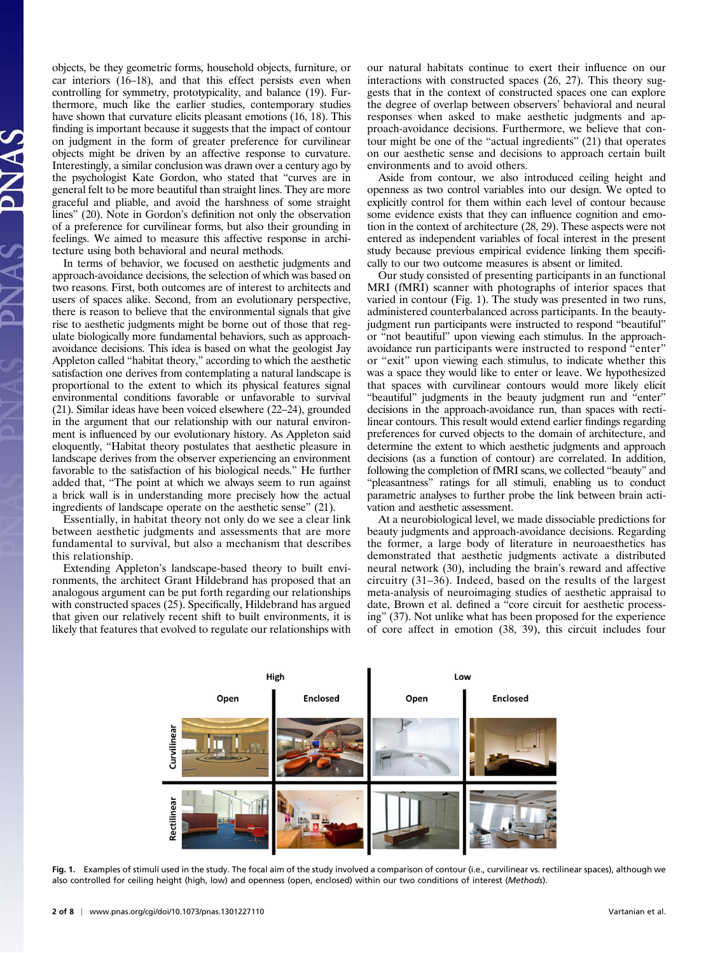objects, be they geometric forms, household objects, furniture, or car interiors (16–18), and that this effect persists even when controlling for symmetry, prototypicality, and balance (19). Furthermore, much like the earlier studies, contemporary studies have shown that curvature elicits pleasant emotions (16, 18). This finding is important because it suggests that the impact of contour on judgment in the form of greater preference for curvilinear objects might be driven by an affective response to curvature. Interestingly, a similar conclusion was drawn over a century ago by the psychologist Kate Gordon, who stated that "curves are in general felt to be more beautiful than straight lines. They are more graceful and pliable, and avoid the harshness of some straight lines" (20). Note in Gordon's definition not only the observation of a preference for curvilinear forms, but also their grounding in feelings. We aimed to measure this affective response in architecture using both behavioral and neural methods.

In terms of behavior, we focused on aesthetic judgments and approach-avoidance decisions, the selection of which was based on two reasons. First, both outcomes are of interest to architects and users of spaces alike. Second, from an evolutionary perspective, there is reason to believe that the environmental signals that give rise to aesthetic judgments might be borne out of those that regulate biologically more fundamental behaviors, such as approachavoidance decisions. This idea is based on what the geologist Jay Appleton called "habitat theory," according to which the aesthetic satisfaction one derives from contemplating a natural landscape is proportional to the extent to which its physical features signal environmental conditions favorable or unfavorable to survival (21). Similar ideas have been voiced elsewhere (22–24), grounded in the argument that our relationship with our natural environment is influenced by our evolutionary history. As Appleton said eloquently, "Habitat theory postulates that aesthetic pleasure in landscape derives from the observer experiencing an environment favorable to the satisfaction of his biological needs." He further added that, "The point at which we always seem to run against a brick wall is in understanding more precisely how the actual ingredients of landscape operate on the aesthetic sense" (21).

Essentially, in habitat theory not only do we see a clear link between aesthetic judgments and assessments that are more fundamental to survival, but also a mechanism that describes this relationship.

Extending Appleton's landscape-based theory to built environments, the architect Grant Hildebrand has proposed that an analogous argument can be put forth regarding our relationships with constructed spaces (25). Specifically, Hildebrand has argued that given our relatively recent shift to built environments, it is likely that features that evolved to regulate our relationships with

our natural habitats continue to exert their influence on our interactions with constructed spaces (26, 27). This theory suggests that in the context of constructed spaces one can explore the degree of overlap between observers' behavioral and neural responses when asked to make aesthetic judgments and approach-avoidance decisions. Furthermore, we believe that contour might be one of the "actual ingredients" (21) that operates on our aesthetic sense and decisions to approach certain built environments and to avoid others.

Aside from contour, we also introduced ceiling height and openness as two control variables into our design. We opted to explicitly control for them within each level of contour because some evidence exists that they can influence cognition and emotion in the context of architecture (28, 29). These aspects were not entered as independent variables of focal interest in the present study because previous empirical evidence linking them specifically to our two outcome measures is absent or limited.

Our study consisted of presenting participants in an functional MRI (fMRI) scanner with photographs of interior spaces that varied in contour (Fig. 1). The study was presented in two runs, administered counterbalanced across participants. In the beautyjudgment run participants were instructed to respond "beautiful" or "not beautiful" upon viewing each stimulus. In the approachavoidance run participants were instructed to respond "enter" or "exit" upon viewing each stimulus, to indicate whether this was a space they would like to enter or leave. We hypothesized that spaces with curvilinear contours would more likely elicit "beautiful" judgments in the beauty judgment run and "enter" decisions in the approach-avoidance run, than spaces with rectilinear contours. This result would extend earlier findings regarding preferences for curved objects to the domain of architecture, and determine the extent to which aesthetic judgments and approach decisions (as a function of contour) are correlated. In addition, following the completion of fMRI scans, we collected "beauty" and "pleasantness" ratings for all stimuli, enabling us to conduct parametric analyses to further probe the link between brain activation and aesthetic assessment.

At a neurobiological level, we made dissociable predictions for beauty judgments and approach-avoidance decisions. Regarding the former, a large body of literature in neuroaesthetics has demonstrated that aesthetic judgments activate a distributed neural network (30), including the brain's reward and affective circuitry (31–36). Indeed, based on the results of the largest meta-analysis of neuroimaging studies of aesthetic appraisal to date, Brown et al. defined a "core circuit for aesthetic processing" (37). Not unlike what has been proposed for the experience of core affect in emotion (38, 39), this circuit includes four



Fig. 1. Examples of stimuli used in the study. The focal aim of the study involved a comparison of contour (i.e., curvilinear vs. rectilinear spaces), although we also controlled for ceiling height (high, low) and openness (open, enclosed) within our two conditions of interest (Methods).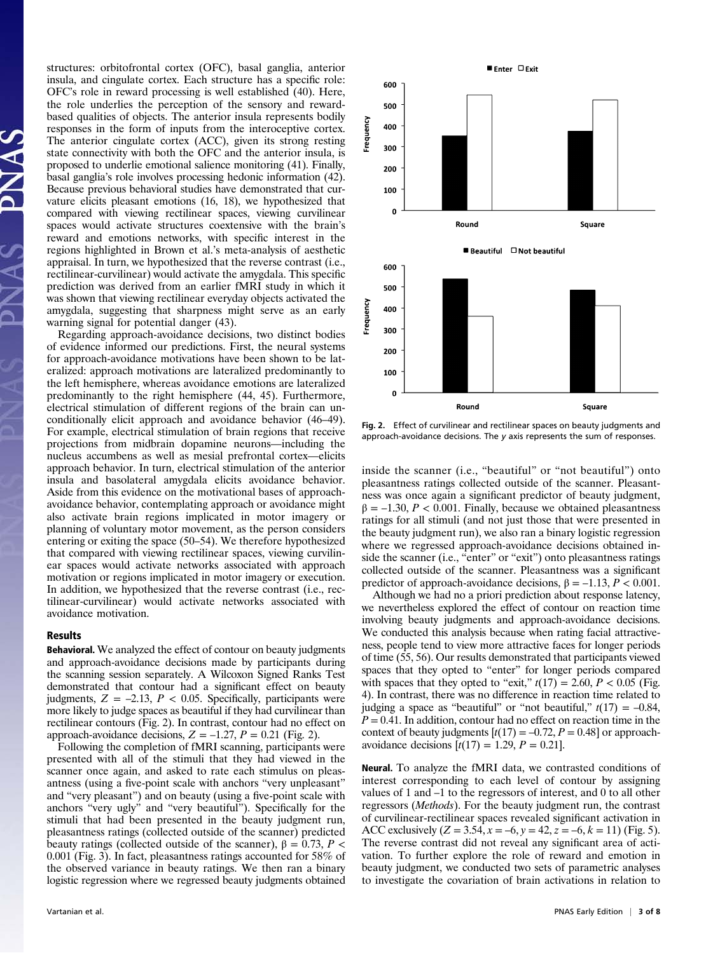structures: orbitofrontal cortex (OFC), basal ganglia, anterior insula, and cingulate cortex. Each structure has a specific role: OFC's role in reward processing is well established (40). Here, the role underlies the perception of the sensory and rewardbased qualities of objects. The anterior insula represents bodily responses in the form of inputs from the interoceptive cortex. The anterior cingulate cortex (ACC), given its strong resting state connectivity with both the OFC and the anterior insula, is proposed to underlie emotional salience monitoring (41). Finally, basal ganglia's role involves processing hedonic information (42). Because previous behavioral studies have demonstrated that curvature elicits pleasant emotions (16, 18), we hypothesized that compared with viewing rectilinear spaces, viewing curvilinear spaces would activate structures coextensive with the brain's reward and emotions networks, with specific interest in the regions highlighted in Brown et al.'s meta-analysis of aesthetic appraisal. In turn, we hypothesized that the reverse contrast (i.e., rectilinear-curvilinear) would activate the amygdala. This specific prediction was derived from an earlier fMRI study in which it was shown that viewing rectilinear everyday objects activated the amygdala, suggesting that sharpness might serve as an early warning signal for potential danger (43).

Regarding approach-avoidance decisions, two distinct bodies of evidence informed our predictions. First, the neural systems for approach-avoidance motivations have been shown to be lateralized: approach motivations are lateralized predominantly to the left hemisphere, whereas avoidance emotions are lateralized predominantly to the right hemisphere (44, 45). Furthermore, electrical stimulation of different regions of the brain can unconditionally elicit approach and avoidance behavior (46–49). For example, electrical stimulation of brain regions that receive projections from midbrain dopamine neurons—including the nucleus accumbens as well as mesial prefrontal cortex—elicits approach behavior. In turn, electrical stimulation of the anterior insula and basolateral amygdala elicits avoidance behavior. Aside from this evidence on the motivational bases of approachavoidance behavior, contemplating approach or avoidance might also activate brain regions implicated in motor imagery or planning of voluntary motor movement, as the person considers entering or exiting the space (50–54). We therefore hypothesized that compared with viewing rectilinear spaces, viewing curvilinear spaces would activate networks associated with approach motivation or regions implicated in motor imagery or execution. In addition, we hypothesized that the reverse contrast (i.e., rectilinear-curvilinear) would activate networks associated with avoidance motivation.

## Results

Behavioral. We analyzed the effect of contour on beauty judgments and approach-avoidance decisions made by participants during the scanning session separately. A Wilcoxon Signed Ranks Test demonstrated that contour had a significant effect on beauty judgments,  $Z = -2.13$ ,  $P < 0.05$ . Specifically, participants were more likely to judge spaces as beautiful if they had curvilinear than rectilinear contours (Fig. 2). In contrast, contour had no effect on approach-avoidance decisions,  $Z = -1.27$ ,  $P = 0.21$  (Fig. 2).

Following the completion of fMRI scanning, participants were presented with all of the stimuli that they had viewed in the scanner once again, and asked to rate each stimulus on pleasantness (using a five-point scale with anchors "very unpleasant" and "very pleasant") and on beauty (using a five-point scale with anchors "very ugly" and "very beautiful"). Specifically for the stimuli that had been presented in the beauty judgment run, pleasantness ratings (collected outside of the scanner) predicted beauty ratings (collected outside of the scanner),  $\beta = 0.73$ ,  $P <$ 0.001 (Fig. 3). In fact, pleasantness ratings accounted for 58% of the observed variance in beauty ratings. We then ran a binary logistic regression where we regressed beauty judgments obtained



Fig. 2. Effect of curvilinear and rectilinear spaces on beauty judgments and approach-avoidance decisions. The y axis represents the sum of responses.

inside the scanner (i.e., "beautiful" or "not beautiful") onto pleasantness ratings collected outside of the scanner. Pleasantness was once again a significant predictor of beauty judgment,  $\beta = -1.30, P < 0.001$ . Finally, because we obtained pleasantness ratings for all stimuli (and not just those that were presented in the beauty judgment run), we also ran a binary logistic regression where we regressed approach-avoidance decisions obtained inside the scanner (i.e., "enter" or "exit") onto pleasantness ratings collected outside of the scanner. Pleasantness was a significant predictor of approach-avoidance decisions,  $β = -1.13, P < 0.001$ .

Although we had no a priori prediction about response latency, we nevertheless explored the effect of contour on reaction time involving beauty judgments and approach-avoidance decisions. We conducted this analysis because when rating facial attractiveness, people tend to view more attractive faces for longer periods of time (55, 56). Our results demonstrated that participants viewed spaces that they opted to "enter" for longer periods compared with spaces that they opted to "exit,"  $t(17) = 2.60, P < 0.05$  (Fig. 4). In contrast, there was no difference in reaction time related to judging a space as "beautiful" or "not beautiful,"  $t(17) = -0.84$ ,  $P = 0.41$ . In addition, contour had no effect on reaction time in the context of beauty judgments  $[t(17) = -0.72, P = 0.48]$  or approachavoidance decisions  $[t(17) = 1.29, P = 0.21]$ .

Neural. To analyze the fMRI data, we contrasted conditions of interest corresponding to each level of contour by assigning values of 1 and –1 to the regressors of interest, and 0 to all other regressors (Methods). For the beauty judgment run, the contrast of curvilinear-rectilinear spaces revealed significant activation in ACC exclusively  $(Z = 3.54, x = -6, y = 42, z = -6, k = 11)$  (Fig. 5). The reverse contrast did not reveal any significant area of activation. To further explore the role of reward and emotion in beauty judgment, we conducted two sets of parametric analyses to investigate the covariation of brain activations in relation to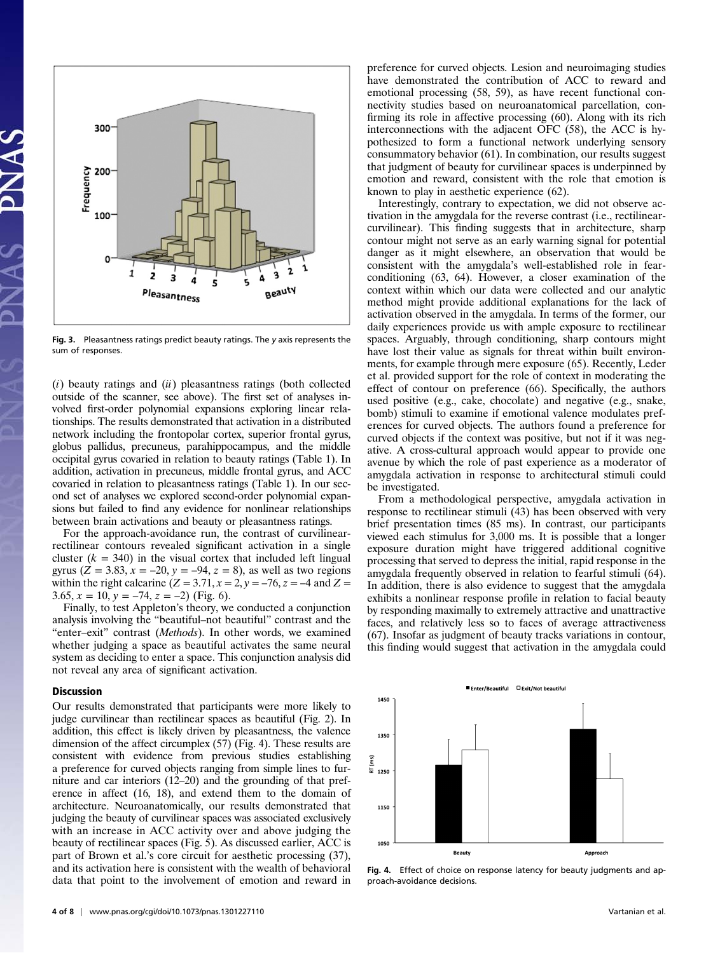

Fig. 3. Pleasantness ratings predict beauty ratings. The y axis represents the sum of responses.

 $(i)$  beauty ratings and  $(ii)$  pleasantness ratings (both collected outside of the scanner, see above). The first set of analyses involved first-order polynomial expansions exploring linear relationships. The results demonstrated that activation in a distributed network including the frontopolar cortex, superior frontal gyrus, globus pallidus, precuneus, parahippocampus, and the middle occipital gyrus covaried in relation to beauty ratings (Table 1). In addition, activation in precuneus, middle frontal gyrus, and ACC covaried in relation to pleasantness ratings (Table 1). In our second set of analyses we explored second-order polynomial expansions but failed to find any evidence for nonlinear relationships between brain activations and beauty or pleasantness ratings.

For the approach-avoidance run, the contrast of curvilinearrectilinear contours revealed significant activation in a single cluster  $(k = 340)$  in the visual cortex that included left lingual gyrus ( $Z = 3.83$ ,  $x = -20$ ,  $y = -94$ ,  $z = 8$ ), as well as two regions within the right calcarine  $(Z = 3.71, x = 2, y = -76, z = -4$  and  $Z =$ 3.65,  $x = 10$ ,  $y = -74$ ,  $z = -2$ ) (Fig. 6).

Finally, to test Appleton's theory, we conducted a conjunction analysis involving the "beautiful–not beautiful" contrast and the "enter–exit" contrast (Methods). In other words, we examined whether judging a space as beautiful activates the same neural system as deciding to enter a space. This conjunction analysis did not reveal any area of significant activation.

#### **Discussion**

Our results demonstrated that participants were more likely to judge curvilinear than rectilinear spaces as beautiful (Fig. 2). In addition, this effect is likely driven by pleasantness, the valence dimension of the affect circumplex (57) (Fig. 4). These results are consistent with evidence from previous studies establishing a preference for curved objects ranging from simple lines to furniture and car interiors (12–20) and the grounding of that preference in affect (16, 18), and extend them to the domain of architecture. Neuroanatomically, our results demonstrated that judging the beauty of curvilinear spaces was associated exclusively with an increase in ACC activity over and above judging the beauty of rectilinear spaces (Fig. 5). As discussed earlier, ACC is part of Brown et al.'s core circuit for aesthetic processing (37), and its activation here is consistent with the wealth of behavioral data that point to the involvement of emotion and reward in

preference for curved objects. Lesion and neuroimaging studies have demonstrated the contribution of ACC to reward and emotional processing (58, 59), as have recent functional connectivity studies based on neuroanatomical parcellation, confirming its role in affective processing (60). Along with its rich interconnections with the adjacent OFC (58), the ACC is hypothesized to form a functional network underlying sensory consummatory behavior (61). In combination, our results suggest that judgment of beauty for curvilinear spaces is underpinned by emotion and reward, consistent with the role that emotion is known to play in aesthetic experience (62).

Interestingly, contrary to expectation, we did not observe activation in the amygdala for the reverse contrast (i.e., rectilinearcurvilinear). This finding suggests that in architecture, sharp contour might not serve as an early warning signal for potential danger as it might elsewhere, an observation that would be consistent with the amygdala's well-established role in fearconditioning (63, 64). However, a closer examination of the context within which our data were collected and our analytic method might provide additional explanations for the lack of activation observed in the amygdala. In terms of the former, our daily experiences provide us with ample exposure to rectilinear spaces. Arguably, through conditioning, sharp contours might have lost their value as signals for threat within built environments, for example through mere exposure (65). Recently, Leder et al. provided support for the role of context in moderating the effect of contour on preference (66). Specifically, the authors used positive (e.g., cake, chocolate) and negative (e.g., snake, bomb) stimuli to examine if emotional valence modulates preferences for curved objects. The authors found a preference for curved objects if the context was positive, but not if it was negative. A cross-cultural approach would appear to provide one avenue by which the role of past experience as a moderator of amygdala activation in response to architectural stimuli could be investigated.

From a methodological perspective, amygdala activation in response to rectilinear stimuli (43) has been observed with very brief presentation times (85 ms). In contrast, our participants viewed each stimulus for 3,000 ms. It is possible that a longer exposure duration might have triggered additional cognitive processing that served to depress the initial, rapid response in the amygdala frequently observed in relation to fearful stimuli (64). In addition, there is also evidence to suggest that the amygdala exhibits a nonlinear response profile in relation to facial beauty by responding maximally to extremely attractive and unattractive faces, and relatively less so to faces of average attractiveness (67). Insofar as judgment of beauty tracks variations in contour, this finding would suggest that activation in the amygdala could



Fig. 4. Effect of choice on response latency for beauty judgments and approach-avoidance decisions.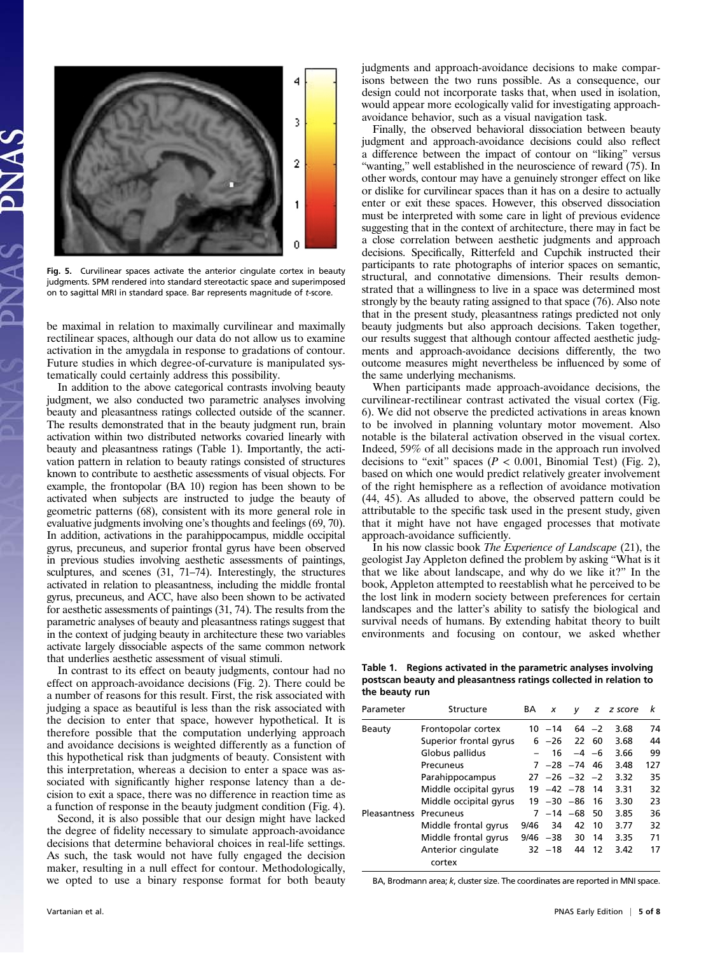

Fig. 5. Curvilinear spaces activate the anterior cingulate cortex in beauty judgments. SPM rendered into standard stereotactic space and superimposed on to sagittal MRI in standard space. Bar represents magnitude of t-score.

be maximal in relation to maximally curvilinear and maximally rectilinear spaces, although our data do not allow us to examine activation in the amygdala in response to gradations of contour. Future studies in which degree-of-curvature is manipulated systematically could certainly address this possibility.

In addition to the above categorical contrasts involving beauty judgment, we also conducted two parametric analyses involving beauty and pleasantness ratings collected outside of the scanner. The results demonstrated that in the beauty judgment run, brain activation within two distributed networks covaried linearly with beauty and pleasantness ratings (Table 1). Importantly, the activation pattern in relation to beauty ratings consisted of structures known to contribute to aesthetic assessments of visual objects. For example, the frontopolar (BA 10) region has been shown to be activated when subjects are instructed to judge the beauty of geometric patterns (68), consistent with its more general role in evaluative judgments involving one's thoughts and feelings (69, 70). In addition, activations in the parahippocampus, middle occipital gyrus, precuneus, and superior frontal gyrus have been observed in previous studies involving aesthetic assessments of paintings, sculptures, and scenes (31, 71–74). Interestingly, the structures activated in relation to pleasantness, including the middle frontal gyrus, precuneus, and ACC, have also been shown to be activated for aesthetic assessments of paintings (31, 74). The results from the parametric analyses of beauty and pleasantness ratings suggest that in the context of judging beauty in architecture these two variables activate largely dissociable aspects of the same common network that underlies aesthetic assessment of visual stimuli.

In contrast to its effect on beauty judgments, contour had no effect on approach-avoidance decisions (Fig. 2). There could be a number of reasons for this result. First, the risk associated with judging a space as beautiful is less than the risk associated with the decision to enter that space, however hypothetical. It is therefore possible that the computation underlying approach and avoidance decisions is weighted differently as a function of this hypothetical risk than judgments of beauty. Consistent with this interpretation, whereas a decision to enter a space was associated with significantly higher response latency than a decision to exit a space, there was no difference in reaction time as a function of response in the beauty judgment condition (Fig. 4).

Second, it is also possible that our design might have lacked the degree of fidelity necessary to simulate approach-avoidance decisions that determine behavioral choices in real-life settings. As such, the task would not have fully engaged the decision maker, resulting in a null effect for contour. Methodologically, we opted to use a binary response format for both beauty judgments and approach-avoidance decisions to make comparisons between the two runs possible. As a consequence, our design could not incorporate tasks that, when used in isolation, would appear more ecologically valid for investigating approachavoidance behavior, such as a visual navigation task.

Finally, the observed behavioral dissociation between beauty judgment and approach-avoidance decisions could also reflect a difference between the impact of contour on "liking" versus "wanting," well established in the neuroscience of reward (75). In other words, contour may have a genuinely stronger effect on like or dislike for curvilinear spaces than it has on a desire to actually enter or exit these spaces. However, this observed dissociation must be interpreted with some care in light of previous evidence suggesting that in the context of architecture, there may in fact be a close correlation between aesthetic judgments and approach decisions. Specifically, Ritterfeld and Cupchik instructed their participants to rate photographs of interior spaces on semantic, structural, and connotative dimensions. Their results demonstrated that a willingness to live in a space was determined most strongly by the beauty rating assigned to that space (76). Also note that in the present study, pleasantness ratings predicted not only beauty judgments but also approach decisions. Taken together, our results suggest that although contour affected aesthetic judgments and approach-avoidance decisions differently, the two outcome measures might nevertheless be influenced by some of the same underlying mechanisms.

When participants made approach-avoidance decisions, the curvilinear-rectilinear contrast activated the visual cortex (Fig. 6). We did not observe the predicted activations in areas known to be involved in planning voluntary motor movement. Also notable is the bilateral activation observed in the visual cortex. Indeed, 59% of all decisions made in the approach run involved decisions to "exit" spaces ( $P < 0.001$ , Binomial Test) (Fig. 2), based on which one would predict relatively greater involvement of the right hemisphere as a reflection of avoidance motivation (44, 45). As alluded to above, the observed pattern could be attributable to the specific task used in the present study, given that it might have not have engaged processes that motivate approach-avoidance sufficiently.

In his now classic book The Experience of Landscape (21), the geologist Jay Appleton defined the problem by asking "What is it that we like about landscape, and why do we like it?" In the book, Appleton attempted to reestablish what he perceived to be the lost link in modern society between preferences for certain landscapes and the latter's ability to satisfy the biological and survival needs of humans. By extending habitat theory to built environments and focusing on contour, we asked whether

Table 1. Regions activated in the parametric analyses involving postscan beauty and pleasantness ratings collected in relation to the beauty run

| Parameter           | Structure                    | BА   | x              | v                  |         | z z score | k   |
|---------------------|------------------------------|------|----------------|--------------------|---------|-----------|-----|
| Beauty              | Frontopolar cortex           |      | 10 –14         |                    | $64 -2$ | 3.68      | 74  |
|                     | Superior frontal gyrus       |      | $6 -26$        |                    | 22 60   | 3.68      | 44  |
|                     | Globus pallidus              |      | 16             |                    | $-4 -6$ | 3.66      | 99  |
|                     | Precuneus                    |      |                | $7 - 28 - 74$ 46   |         | 3.48      | 127 |
|                     | Parahippocampus              |      |                | $27 - 26 - 32 - 2$ |         | 3.32      | 35  |
|                     | Middle occipital gyrus       |      |                | $19 - 42 - 78$     | -14     | 3.31      | 32  |
|                     | Middle occipital gyrus       |      | $19 - 30 - 86$ |                    | 16      | 3.30      | 23  |
| <b>Pleasantness</b> | Precuneus                    |      |                | 7 -14 -68          | 50      | 3.85      | 36  |
|                     | Middle frontal gyrus         | 9/46 | 34             | 42                 | 10      | 3.77      | 32  |
|                     | Middle frontal gyrus         | 9/46 | -38            | 30                 | 14      | 3.35      | 71  |
|                     | Anterior cingulate<br>cortex |      | $32 - 18$      | 44                 | 12      | 3.42      | 17  |

BA, Brodmann area; k, cluster size. The coordinates are reported in MNI space.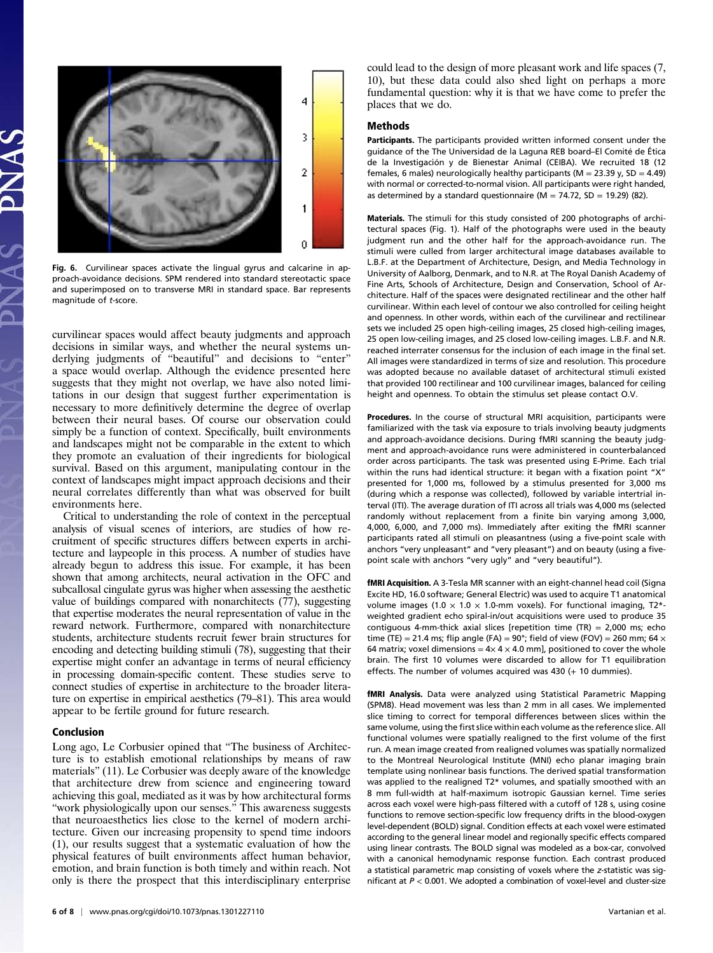

Fig. 6. Curvilinear spaces activate the lingual gyrus and calcarine in approach-avoidance decisions. SPM rendered into standard stereotactic space and superimposed on to transverse MRI in standard space. Bar represents magnitude of t-score.

curvilinear spaces would affect beauty judgments and approach decisions in similar ways, and whether the neural systems underlying judgments of "beautiful" and decisions to "enter" a space would overlap. Although the evidence presented here suggests that they might not overlap, we have also noted limitations in our design that suggest further experimentation is necessary to more definitively determine the degree of overlap between their neural bases. Of course our observation could simply be a function of context. Specifically, built environments and landscapes might not be comparable in the extent to which they promote an evaluation of their ingredients for biological survival. Based on this argument, manipulating contour in the context of landscapes might impact approach decisions and their neural correlates differently than what was observed for built environments here.

Critical to understanding the role of context in the perceptual analysis of visual scenes of interiors, are studies of how recruitment of specific structures differs between experts in architecture and laypeople in this process. A number of studies have already begun to address this issue. For example, it has been shown that among architects, neural activation in the OFC and subcallosal cingulate gyrus was higher when assessing the aesthetic value of buildings compared with nonarchitects (77), suggesting that expertise moderates the neural representation of value in the reward network. Furthermore, compared with nonarchitecture students, architecture students recruit fewer brain structures for encoding and detecting building stimuli (78), suggesting that their expertise might confer an advantage in terms of neural efficiency in processing domain-specific content. These studies serve to connect studies of expertise in architecture to the broader literature on expertise in empirical aesthetics (79–81). This area would appear to be fertile ground for future research.

#### Conclusion

Long ago, Le Corbusier opined that "The business of Architecture is to establish emotional relationships by means of raw materials" (11). Le Corbusier was deeply aware of the knowledge that architecture drew from science and engineering toward achieving this goal, mediated as it was by how architectural forms "work physiologically upon our senses." This awareness suggests that neuroaesthetics lies close to the kernel of modern architecture. Given our increasing propensity to spend time indoors (1), our results suggest that a systematic evaluation of how the physical features of built environments affect human behavior, emotion, and brain function is both timely and within reach. Not only is there the prospect that this interdisciplinary enterprise could lead to the design of more pleasant work and life spaces (7, 10), but these data could also shed light on perhaps a more fundamental question: why it is that we have come to prefer the places that we do.

### Methods

Participants. The participants provided written informed consent under the guidance of the The Universidad de la Laguna REB board–El Comité de Ética de la Investigación y de Bienestar Animal (CEIBA). We recruited 18 (12 females, 6 males) neurologically healthy participants ( $M = 23.39$  y,  $SD = 4.49$ ) with normal or corrected-to-normal vision. All participants were right handed, as determined by a standard questionnaire ( $M = 74.72$ , SD = 19.29) (82).

Materials. The stimuli for this study consisted of 200 photographs of architectural spaces (Fig. 1). Half of the photographs were used in the beauty judgment run and the other half for the approach-avoidance run. The stimuli were culled from larger architectural image databases available to L.B.F. at the Department of Architecture, Design, and Media Technology in University of Aalborg, Denmark, and to N.R. at The Royal Danish Academy of Fine Arts, Schools of Architecture, Design and Conservation, School of Architecture. Half of the spaces were designated rectilinear and the other half curvilinear. Within each level of contour we also controlled for ceiling height and openness. In other words, within each of the curvilinear and rectilinear sets we included 25 open high-ceiling images, 25 closed high-ceiling images, 25 open low-ceiling images, and 25 closed low-ceiling images. L.B.F. and N.R. reached interrater consensus for the inclusion of each image in the final set. All images were standardized in terms of size and resolution. This procedure was adopted because no available dataset of architectural stimuli existed that provided 100 rectilinear and 100 curvilinear images, balanced for ceiling height and openness. To obtain the stimulus set please contact O.V.

Procedures. In the course of structural MRI acquisition, participants were familiarized with the task via exposure to trials involving beauty judgments and approach-avoidance decisions. During fMRI scanning the beauty judgment and approach-avoidance runs were administered in counterbalanced order across participants. The task was presented using E-Prime. Each trial within the runs had identical structure: it began with a fixation point "X" presented for 1,000 ms, followed by a stimulus presented for 3,000 ms (during which a response was collected), followed by variable intertrial interval (ITI). The average duration of ITI across all trials was 4,000 ms (selected randomly without replacement from a finite bin varying among 3,000, 4,000, 6,000, and 7,000 ms). Immediately after exiting the fMRI scanner participants rated all stimuli on pleasantness (using a five-point scale with anchors "very unpleasant" and "very pleasant") and on beauty (using a fivepoint scale with anchors "very ugly" and "very beautiful").

fMRI Acquisition. A 3-Tesla MR scanner with an eight-channel head coil (Signa Excite HD, 16.0 software; General Electric) was used to acquire T1 anatomical volume images (1.0  $\times$  1.0  $\times$  1.0-mm voxels). For functional imaging, T2\*weighted gradient echo spiral-in/out acquisitions were used to produce 35 contiguous 4-mm-thick axial slices [repetition time (TR) =  $2,000$  ms: echo time (TE) = 21.4 ms; flip angle (FA) =  $90^{\circ}$ ; field of view (FOV) = 260 mm; 64  $\times$ 64 matrix; voxel dimensions =  $4 \times 4 \times 4.0$  mm], positioned to cover the whole brain. The first 10 volumes were discarded to allow for T1 equilibration effects. The number of volumes acquired was 430 (+ 10 dummies).

fMRI Analysis. Data were analyzed using Statistical Parametric Mapping (SPM8). Head movement was less than 2 mm in all cases. We implemented slice timing to correct for temporal differences between slices within the same volume, using the first slice within each volume as the reference slice. All functional volumes were spatially realigned to the first volume of the first run. A mean image created from realigned volumes was spatially normalized to the Montreal Neurological Institute (MNI) echo planar imaging brain template using nonlinear basis functions. The derived spatial transformation was applied to the realigned T2\* volumes, and spatially smoothed with an 8 mm full-width at half-maximum isotropic Gaussian kernel. Time series across each voxel were high-pass filtered with a cutoff of 128 s, using cosine functions to remove section-specific low frequency drifts in the blood-oxygen level-dependent (BOLD) signal. Condition effects at each voxel were estimated according to the general linear model and regionally specific effects compared using linear contrasts. The BOLD signal was modeled as a box-car, convolved with a canonical hemodynamic response function. Each contrast produced a statistical parametric map consisting of voxels where the z-statistic was significant at  $P < 0.001$ . We adopted a combination of voxel-level and cluster-size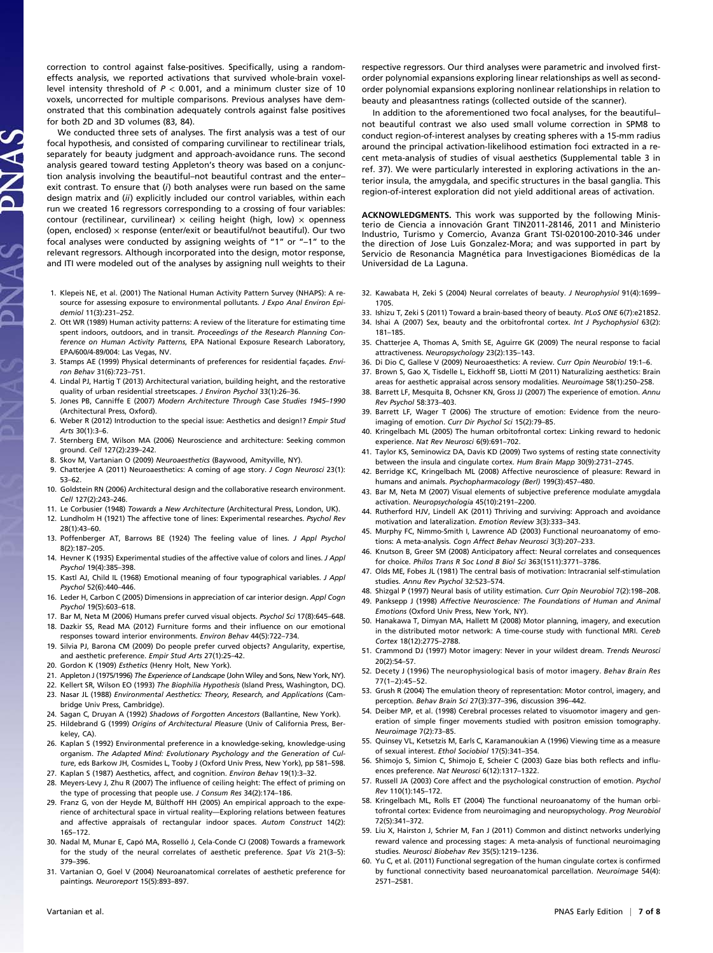correction to control against false-positives. Specifically, using a randomeffects analysis, we reported activations that survived whole-brain voxellevel intensity threshold of  $P < 0.001$ , and a minimum cluster size of 10 voxels, uncorrected for multiple comparisons. Previous analyses have demonstrated that this combination adequately controls against false positives for both 2D and 3D volumes (83, 84).

We conducted three sets of analyses. The first analysis was a test of our focal hypothesis, and consisted of comparing curvilinear to rectilinear trials, separately for beauty judgment and approach-avoidance runs. The second analysis geared toward testing Appleton's theory was based on a conjunction analysis involving the beautiful–not beautiful contrast and the enter– exit contrast. To ensure that  $(i)$  both analyses were run based on the same design matrix and (ii) explicitly included our control variables, within each run we created 16 regressors corresponding to a crossing of four variables: contour (rectilinear, curvilinear)  $\times$  ceiling height (high, low)  $\times$  openness (open, enclosed)  $\times$  response (enter/exit or beautiful/not beautiful). Our two focal analyses were conducted by assigning weights of "1" or "–1" to the relevant regressors. Although incorporated into the design, motor response, and ITI were modeled out of the analyses by assigning null weights to their

- 1. Klepeis NE, et al. (2001) The National Human Activity Pattern Survey (NHAPS): A resource for assessing exposure to environmental pollutants. J Expo Anal Environ Epidemiol 11(3):231–252.
- 2. Ott WR (1989) Human activity patterns: A review of the literature for estimating time spent indoors, outdoors, and in transit. Proceedings of the Research Planning Conference on Human Activity Patterns, EPA National Exposure Research Laboratory, EPA/600/4-89/004: Las Vegas, NV.
- 3. Stamps AE (1999) Physical determinants of preferences for residential façades. Environ Behav 31(6):723–751.
- 4. Lindal PJ, Hartig T (2013) Architectural variation, building height, and the restorative quality of urban residential streetscapes. J Environ Psychol 33(1):26-36
- 5. Jones PB, Canniffe E (2007) Modern Architecture Through Case Studies 1945–1990 (Architectural Press, Oxford).
- 6. Weber R (2012) Introduction to the special issue: Aesthetics and design!? Empir Stud Arts 30(1):3–6.
- 7. Sternberg EM, Wilson MA (2006) Neuroscience and architecture: Seeking common ground. Cell 127(2):239–242.
- 8. Skov M, Vartanian O (2009) Neuroaesthetics (Baywood, Amityville, NY).
- 9. Chatterjee A (2011) Neuroaesthetics: A coming of age story. J Cogn Neurosci 23(1): 53–62.
- 10. Goldstein RN (2006) Architectural design and the collaborative research environment. Cell 127(2):243–246.
- 11. Le Corbusier (1948) Towards a New Architecture (Architectural Press, London, UK).
- 12. Lundholm H (1921) The affective tone of lines: Experimental researches. Psychol Rev 28(1):43–60.
- 13. Poffenberger AT, Barrows BE (1924) The feeling value of lines. J Appl Psychol 8(2):187–205.
- 14. Hevner K (1935) Experimental studies of the affective value of colors and lines. J Appl Psychol 19(4):385–398.
- 15. Kastl AJ, Child IL (1968) Emotional meaning of four typographical variables. J Appl Psychol 52(6):440–446.
- 16. Leder H, Carbon C (2005) Dimensions in appreciation of car interior design. Appl Cogn Psychol 19(5):603–618.
- 17. Bar M, Neta M (2006) Humans prefer curved visual objects. Psychol Sci 17(8):645–648.
- 18. Dazkir SS, Read MA (2012) Furniture forms and their influence on our emotional responses toward interior environments. Environ Behav 44(5):722–734.
- 19. Silvia PJ, Barona CM (2009) Do people prefer curved objects? Angularity, expertise, and aesthetic preference. Empir Stud Arts 27(1):25–42.
- 20. Gordon K (1909) Esthetics (Henry Holt, New York).
- 21. Appleton J (1975/1996) The Experience of Landscape (John Wiley and Sons, New York, NY).
- 22. Kellert SR, Wilson EO (1993) The Biophilia Hypothesis (Island Press, Washington, DC).
- 23. Nasar JL (1988) Environmental Aesthetics: Theory, Research, and Applications (Cambridge Univ Press, Cambridge).
- 24. Sagan C, Druyan A (1992) Shadows of Forgotten Ancestors (Ballantine, New York).
- 25. Hildebrand G (1999) Origins of Architectural Pleasure (Univ of California Press, Berkeley, CA).
- 26. Kaplan S (1992) Environmental preference in a knowledge-seking, knowledge-using organism. The Adapted Mind: Evolutionary Psychology and the Generation of Culture, eds Barkow JH, Cosmides L, Tooby J (Oxford Univ Press, New York), pp 581–598.
- 27. Kaplan S (1987) Aesthetics, affect, and cognition. Environ Behav 19(1):3–32. 28. Meyers-Levy J, Zhu R (2007) The influence of ceiling height: The effect of priming on
- the type of processing that people use. J Consum Res 34(2):174–186. 29. Franz G, von der Heyde M, Bülthoff HH (2005) An empirical approach to the experience of architectural space in virtual reality—Exploring relations between features and affective appraisals of rectangular indoor spaces. Autom Construct 14(2): 165–172.
- 30. Nadal M, Munar E, Capó MA, Rosselló J, Cela-Conde CJ (2008) Towards a framework for the study of the neural correlates of aesthetic preference. Spat Vis 21(3–5): 379–396.
- 31. Vartanian O, Goel V (2004) Neuroanatomical correlates of aesthetic preference for paintings. Neuroreport 15(5):893–897.

respective regressors. Our third analyses were parametric and involved firstorder polynomial expansions exploring linear relationships as well as secondorder polynomial expansions exploring nonlinear relationships in relation to beauty and pleasantness ratings (collected outside of the scanner).

In addition to the aforementioned two focal analyses, for the beautiful– not beautiful contrast we also used small volume correction in SPM8 to conduct region-of-interest analyses by creating spheres with a 15-mm radius around the principal activation-likelihood estimation foci extracted in a recent meta-analysis of studies of visual aesthetics (Supplemental table 3 in ref. 37). We were particularly interested in exploring activations in the anterior insula, the amygdala, and specific structures in the basal ganglia. This region-of-interest exploration did not yield additional areas of activation.

ACKNOWLEDGMENTS. This work was supported by the following Ministerio de Ciencia a innovación Grant TIN2011-28146, 2011 and Ministerio Industrio, Turismo y Comercio, Avanza Grant TSI-020100-2010-346 under the direction of Jose Luis Gonzalez-Mora; and was supported in part by Servicio de Resonancia Magnética para Investigaciones Biomédicas de la Universidad de La Laguna.

- 32. Kawabata H, Zeki S (2004) Neural correlates of beauty. J Neurophysiol 91(4):1699– 1705.
- 33. Ishizu T, Zeki S (2011) Toward a brain-based theory of beauty. PLoS ONE 6(7):e21852.
- 34. Ishai A (2007) Sex, beauty and the orbitofrontal cortex. Int J Psychophysiol 63(2): 181–185.
- 35. Chatterjee A, Thomas A, Smith SE, Aguirre GK (2009) The neural response to facial attractiveness. Neuropsychology 23(2):135–143.
- 36. Di Dio C, Gallese V (2009) Neuroaesthetics: A review. Curr Opin Neurobiol 19:1–6.
- 37. Brown S, Gao X, Tisdelle L, Eickhoff SB, Liotti M (2011) Naturalizing aesthetics: Brain areas for aesthetic appraisal across sensory modalities. Neuroimage 58(1):250–258.
- 38. Barrett LF, Mesquita B, Ochsner KN, Gross JJ (2007) The experience of emotion. Annu Rev Psychol 58:373–403.
- 39. Barrett LF, Wager T (2006) The structure of emotion: Evidence from the neuroimaging of emotion. Curr Dir Psychol Sci 15(2):79–85.
- 40. Kringelbach ML (2005) The human orbitofrontal cortex: Linking reward to hedonic experience. Nat Rev Neurosci 6(9):691–702.
- 41. Taylor KS, Seminowicz DA, Davis KD (2009) Two systems of resting state connectivity between the insula and cingulate cortex. Hum Brain Mapp 30(9):2731–2745.
- 42. Berridge KC, Kringelbach ML (2008) Affective neuroscience of pleasure: Reward in humans and animals. Psychopharmacology (Berl) 199(3):457-480.
- 43. Bar M, Neta M (2007) Visual elements of subjective preference modulate amygdala activation. Neuropsychologia 45(10):2191–2200.
- 44. Rutherford HJV, Lindell AK (2011) Thriving and surviving: Approach and avoidance motivation and lateralization. Emotion Review 3(3):333–343.
- 45. Murphy FC, Nimmo-Smith I, Lawrence AD (2003) Functional neuroanatomy of emotions: A meta-analysis. Cogn Affect Behav Neurosci 3(3):207–233.
- 46. Knutson B, Greer SM (2008) Anticipatory affect: Neural correlates and consequences for choice. Philos Trans R Soc Lond B Biol Sci 363(1511):3771–3786.
- 47. Olds ME, Fobes JL (1981) The central basis of motivation: Intracranial self-stimulation studies. Annu Rev Psychol 32:523–574.
- 48. Shizgal P (1997) Neural basis of utility estimation. Curr Opin Neurobiol 7(2):198–208. 49. Panksepp J (1998) Affective Neuroscience: The Foundations of Human and Animal Emotions (Oxford Univ Press, New York, NY).
- 50. Hanakawa T, Dimyan MA, Hallett M (2008) Motor planning, imagery, and execution in the distributed motor network: A time-course study with functional MRI. Cereb Cortex 18(12):2775–2788.
- 51. Crammond DJ (1997) Motor imagery: Never in your wildest dream. Trends Neurosci 20(2):54–57.
- 52. Decety J (1996) The neurophysiological basis of motor imagery. Behav Brain Res 77(1–2):45–52.
- 53. Grush R (2004) The emulation theory of representation: Motor control, imagery, and perception. Behav Brain Sci 27(3):377–396, discussion 396–442.
- 54. Deiber MP, et al. (1998) Cerebral processes related to visuomotor imagery and generation of simple finger movements studied with positron emission tomography. Neuroimage 7(2):73–85.
- 55. Quinsey VL, Ketsetzis M, Earls C, Karamanoukian A (1996) Viewing time as a measure of sexual interest. Ethol Sociobiol 17(5):341–354.
- 56. Shimojo S, Simion C, Shimojo E, Scheier C (2003) Gaze bias both reflects and influences preference. Nat Neurosci 6(12):1317–1322.
- 57. Russell JA (2003) Core affect and the psychological construction of emotion. Psychol Rev 110(1):145–172.
- 58. Kringelbach ML, Rolls ET (2004) The functional neuroanatomy of the human orbitofrontal cortex: Evidence from neuroimaging and neuropsychology. Prog Neurobiol 72(5):341–372.
- 59. Liu X, Hairston J, Schrier M, Fan J (2011) Common and distinct networks underlying reward valence and processing stages: A meta-analysis of functional neuroimaging studies. Neurosci Biobehav Rev 35(5):1219–1236.
- 60. Yu C, et al. (2011) Functional segregation of the human cingulate cortex is confirmed by functional connectivity based neuroanatomical parcellation. Neuroimage 54(4): 2571–2581.